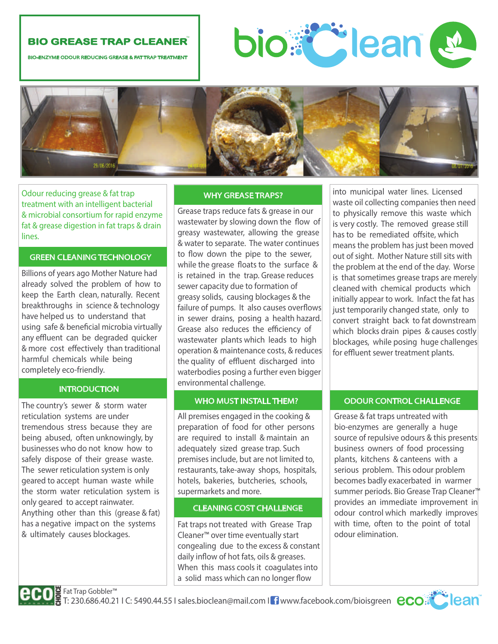# **BIO GREASE TRAP CLEANER**

BIO-ENZYME ODOUR REDUCING GREASE & FAT TRAP TREATMENT





Odour reducing grease & fat trap treatment with an intelligent bacterial & microbial consortium for rapid enzyme fat & grease digestion in fat traps & drain lines.

# GREEN CLEANING TECHNOLOGY

Billions of years ago Mother Nature had already solved the problem of how to keep the Earth clean, naturally. Recent breakthroughs in science & technology have helped us to understand that using safe & beneficial microbia virtually any effluent can be degraded quicker & more cost effectively than traditional harmful chemicals while being completely eco-friendly.

# **INTRODUCTION**

The country's sewer & storm water reticulation systems are under tremendous stress because they are being abused, often unknowingly, by businesses who do not know how to safely dispose of their grease waste. The sewer reticulation system is only geared to accept human waste while the storm water reticulation system is only geared to accept rainwater. Anything other than this (grease & fat) has a negative impact on the systems & ultimately causes blockages.

#### WHY GREASE TRAPS?

Grease traps reduce fats & grease in our wastewater by slowing down the flow of greasy wastewater, allowing the grease & water to separate. The water continues to flow down the pipe to the sewer, while the grease floats to the surface & is retained in the trap. Grease reduces sewer capacity due to formation of greasy solids, causing blockages & the failure of pumps. It also causes overflows in sewer drains, posing a health hazard. Grease also reduces the efficiency of wastewater plants which leads to high operation & maintenance costs, & reduces the quality of effluent discharged into waterbodies posing a further even bigger environmental challenge.

All premises engaged in the cooking & preparation of food for other persons are required to install & maintain an adequately sized grease trap. Such premises include, but are not limited to, restaurants, take‐away shops, hospitals, hotels, bakeries, butcheries, schools, supermarkets and more.

## CLEANING COST CHALLENGE

Fat traps not treated with Grease Trap Cleaner™ over time eventually start congealing due to the excess & constant daily inflow of hot fats, oils & greases. When this mass cools it coagulates into a solid mass which can no longer flow

into municipal water lines. Licensed waste oil collecting companies then need to physically remove this waste which is very costly. The removed grease still has to be remediated offsite, which means the problem has just been moved out of sight. Mother Nature still sits with the problem at the end of the day. Worse is that sometimes grease traps are merely cleaned with chemical products which initially appear to work. Infact the fat has just temporarily changed state, only to convert straight back to fat downstream which blocks drain pipes & causes costly blockages, while posing huge challenges for effluent sewer treatment plants.

# WHO MUST INSTALL THEM? **DELIXAGE** ODOUR CONTROL CHALLENGE

Grease & fat traps untreated with bio‐enzymes are generally a huge source of repulsive odours & this presents business owners of food processing plants, kitchens & canteens with a serious problem. This odour problem becomes badly exacerbated in warmer summer periods. Bio Grease Trap Cleaner™ provides an immediate improvement in odour control which markedly improves with time, often to the point of total odour elimination.